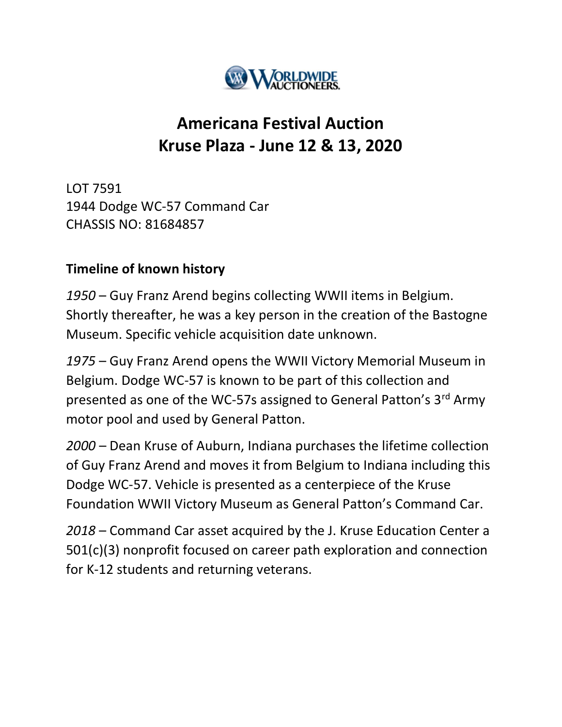

## Americana Festival Auction Kruse Plaza - June 12 & 13, 2020

LOT 7591 1944 Dodge WC-57 Command Car CHASSIS NO: 81684857

## Timeline of known history

1950 – Guy Franz Arend begins collecting WWII items in Belgium. Shortly thereafter, he was a key person in the creation of the Bastogne Museum. Specific vehicle acquisition date unknown.

1975 – Guy Franz Arend opens the WWII Victory Memorial Museum in Belgium. Dodge WC-57 is known to be part of this collection and presented as one of the WC-57s assigned to General Patton's 3<sup>rd</sup> Army motor pool and used by General Patton.

2000 – Dean Kruse of Auburn, Indiana purchases the lifetime collection of Guy Franz Arend and moves it from Belgium to Indiana including this Dodge WC-57. Vehicle is presented as a centerpiece of the Kruse Foundation WWII Victory Museum as General Patton's Command Car.

2018 – Command Car asset acquired by the J. Kruse Education Center a 501(c)(3) nonprofit focused on career path exploration and connection for K-12 students and returning veterans.